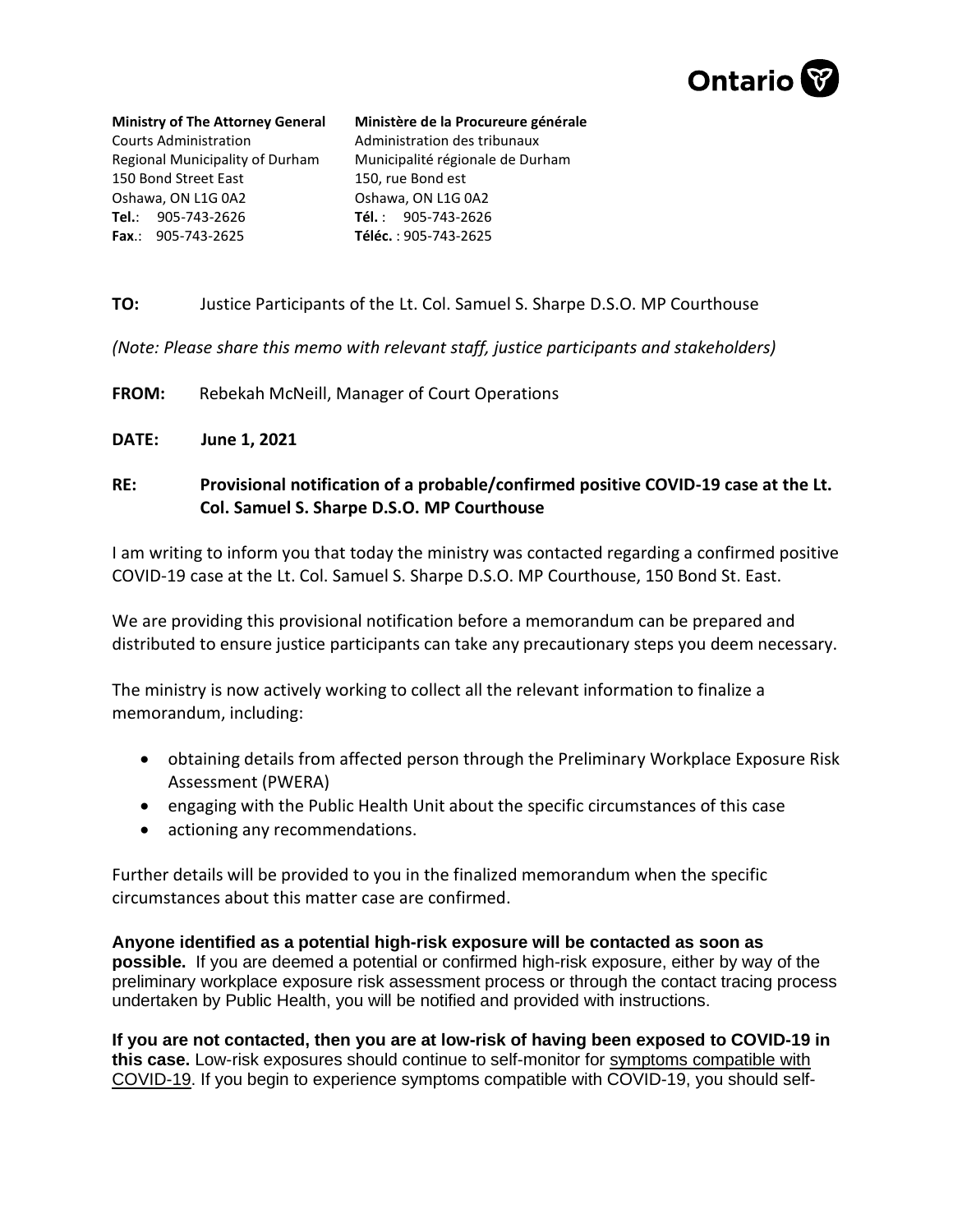

**Ministry of The Attorney General** Courts Administration Regional Municipality of Durham 150 Bond Street East Oshawa, ON L1G 0A2 **Tel.**: 905-743-2626 **Fax**.: 905-743-2625

**Ministère de la Procureure générale**  Administration des tribunaux Municipalité régionale de Durham 150, rue Bond est Oshawa, ON L1G 0A2 **Tél.** : 905-743-2626 **Téléc.** : 905-743-2625

## **TO:** Justice Participants of the Lt. Col. Samuel S. Sharpe D.S.O. MP Courthouse

*(Note: Please share this memo with relevant staff, justice participants and stakeholders)*

**FROM:** Rebekah McNeill, Manager of Court Operations

- **DATE: June 1, 2021**
- **RE: Provisional notification of a probable/confirmed positive COVID-19 case at the Lt. Col. Samuel S. Sharpe D.S.O. MP Courthouse**

I am writing to inform you that today the ministry was contacted regarding a confirmed positive COVID-19 case at the Lt. Col. Samuel S. Sharpe D.S.O. MP Courthouse, 150 Bond St. East.

We are providing this provisional notification before a memorandum can be prepared and distributed to ensure justice participants can take any precautionary steps you deem necessary.

The ministry is now actively working to collect all the relevant information to finalize a memorandum, including:

- obtaining details from affected person through the Preliminary Workplace Exposure Risk Assessment (PWERA)
- engaging with the Public Health Unit about the specific circumstances of this case
- actioning any recommendations.

Further details will be provided to you in the finalized memorandum when the specific circumstances about this matter case are confirmed.

**Anyone identified as a potential high-risk exposure will be contacted as soon as possible.** If you are deemed a potential or confirmed high-risk exposure, either by way of the preliminary workplace exposure risk assessment process or through the contact tracing process undertaken by Public Health, you will be notified and provided with instructions.

**If you are not contacted, then you are at low-risk of having been exposed to COVID-19 in this case.** Low-risk exposures should continue to self-monitor for [symptoms compatible with](http://www.health.gov.on.ca/en/pro/programs/publichealth/coronavirus/docs/2019_reference_doc_symptoms.pdf)  [COVID-19.](http://www.health.gov.on.ca/en/pro/programs/publichealth/coronavirus/docs/2019_reference_doc_symptoms.pdf) If you begin to experience symptoms compatible with COVID-19, you should self